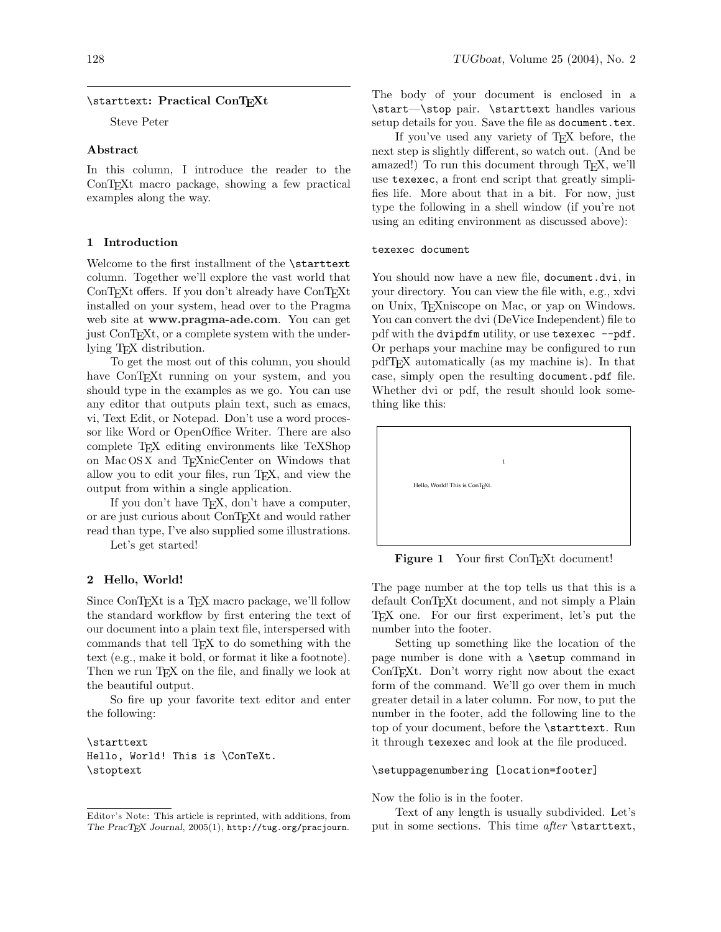#### \starttext: Practical ConTEXt

Steve Peter

# Abstract

In this column, I introduce the reader to the ConT<sub>E</sub>Xt macro package, showing a few practical examples along the way.

# 1 Introduction

Welcome to the first installment of the \starttext column. Together we'll explore the vast world that ConTEXt offers. If you don't already have ConTEXt installed on your system, head over to the Pragma web site at **[www.pragma-ade.com](http://www.pragma-ade.com)**. You can get just ConT<sub>E</sub>Xt, or a complete system with the underlying T<sub>EX</sub> distribution.

To get the most out of this column, you should have ConT<sub>E</sub>Xt running on your system, and you should type in the examples as we go. You can use any editor that outputs plain text, such as emacs, vi, Text Edit, or Notepad. Don't use a word processor like Word or OpenOffice Writer. There are also complete TEX editing environments like TeXShop on Mac OSX and T<sub>E</sub>XnicCenter on Windows that allow you to edit your files, run TEX, and view the output from within a single application.

If you don't have T<sub>E</sub>X, don't have a computer, or are just curious about ConTEXt and would rather read than type, I've also supplied some illustrations.

Let's get started!

#### 2 Hello, World!

Since ConTEXt is a TEX macro package, we'll follow the standard workflow by first entering the text of our document into a plain text file, interspersed with commands that tell TEX to do something with the text (e.g., make it bold, or format it like a footnote). Then we run T<sub>E</sub>X on the file, and finally we look at the beautiful output.

So fire up your favorite text editor and enter the following:

\starttext Hello, World! This is \ConTeXt. \stoptext

The body of your document is enclosed in a \start—\stop pair. \starttext handles various setup details for you. Save the file as document.tex.

If you've used any variety of T<sub>EX</sub> before, the next step is slightly different, so watch out. (And be amazed!) To run this document through TEX, we'll use texexec, a front end script that greatly simplifies life. More about that in a bit. For now, just type the following in a shell window (if you're not using an editing environment as discussed above):

#### texexec document

You should now have a new file, document.dvi, in your directory. You can view the file with, e.g., xdvi on Unix, TEXniscope on Mac, or yap on Windows. You can convert the dvi (DeVice Independent) file to pdf with the dvipdfm utility, or use texexec --pdf. Or perhaps your machine may be configured to run pdfTEX automatically (as my machine is). In that case, simply open the resulting document.pdf file. Whether dvi or pdf, the result should look something like this:



Figure 1 Your first ConTEXt document!

The page number at the top tells us that this is a default ConTEXt document, and not simply a Plain T<sub>E</sub>X one. For our first experiment, let's put the number into the footer.

page number is done with a \setup command in ConTEXt. Don't worry right now about the exact form of the command. We'll go over them in much greater detail in a later column. For now, to put the top of your document, before the **\starttext**. Run it through texexec and look at the file produced. Setting up something like the location of the number in the footer, add the following line to the

### \setuppagenumbering [location=footer]

Now the folio is in the footer.

Text of any length is usually subdivided. Let's put in some sections. This time after \starttext,

Editor's Note: This article is reprinted, with additions, from The PracTEX Journal,  $2005(1)$ ,  ${\tt http://tug.org/pracjourn.}$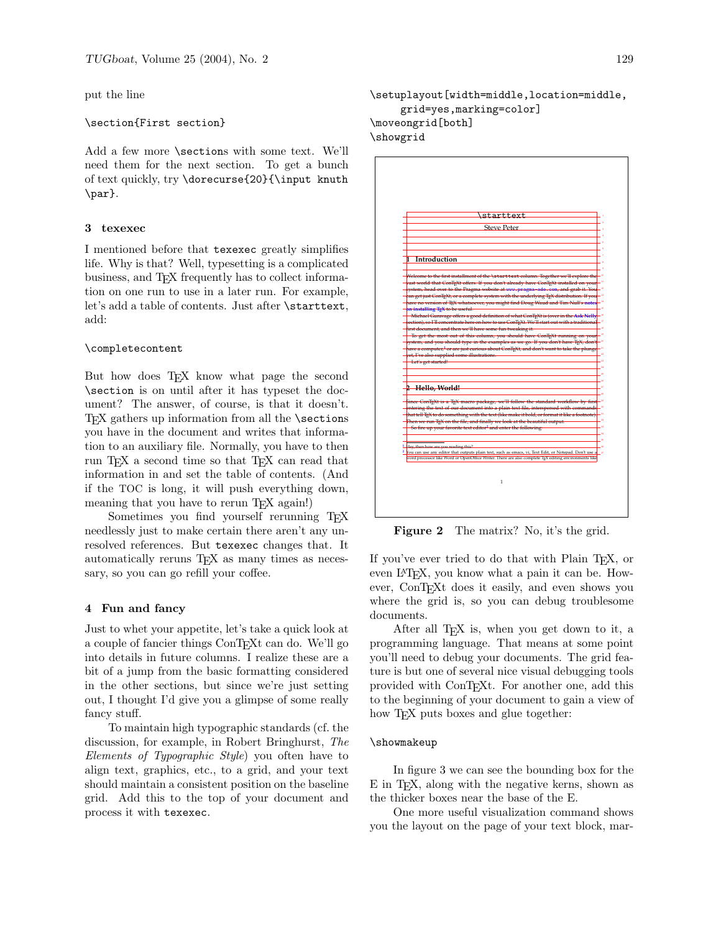put the line

# \section{First section}

Add a few more \sections with some text. We'll need them for the next section. To get a bunch of text quickly, try \dorecurse{20}{\input knuth \par}.

#### 3 texexec

I mentioned before that texexec greatly simplifies life. Why is that? Well, typesetting is a complicated business, and T<sub>E</sub>X frequently has to collect information on one run to use in a later run. For example, let's add a table of contents. Just after \starttext, add:

# \completecontent

But how does T<sub>EX</sub> know what page the second \section is on until after it has typeset the document? The answer, of course, is that it doesn't. T<sub>EX</sub> gathers up information from all the **\sections** you have in the document and writes that information to an auxiliary file. Normally, you have to then run T<sub>E</sub>X a second time so that T<sub>E</sub>X can read that information in and set the table of contents. (And if the TOC is long, it will push everything down, meaning that you have to rerun T<sub>E</sub>X again!)

Sometimes you find yourself rerunning T<sub>E</sub>X needlessly just to make certain there aren't any unresolved references. But texexec changes that. It automatically reruns T<sub>E</sub>X as many times as necessary, so you can go refill your coffee.

# 4 Fun and fancy

Just to whet your appetite, let's take a quick look at a couple of fancier things ConTEXt can do. We'll go into details in future columns. I realize these are a bit of a jump from the basic formatting considered in the other sections, but since we're just setting out, I thought I'd give you a glimpse of some really fancy stuff.

To maintain high typographic standards (cf. the discussion, for example, in Robert Bringhurst, The Elements of Typographic Style) you often have to align text, graphics, etc., to a grid, and your text should maintain a consistent position on the baseline grid. Add this to the top of your document and process it with texexec.

\setuplayout[width=middle,location=middle, grid=yes,marking=color] \moveongrid[both] \showgrid



Figure 2 The matrix? No, it's the grid.

If you've ever tried to do that with Plain T<sub>E</sub>X, or even L<sup>A</sup>T<sub>E</sub>X, you know what a pain it can be. However, ConT<sub>E</sub>X<sup>t</sup> does it easily, and even shows you where the grid is, so you can debug troublesome documents.

After all T<sub>EX</sub> is, when you get down to it, a programming language. That means at some point you'll need to debug your documents. The grid feature is but one of several nice visual debugging tools provided with ConT<sub>E</sub>Xt. For another one, add this to the beginning of your document to gain a view of how T<sub>EX</sub> puts boxes and glue together:

#### \showmakeup

In figure 3 we can see the bounding box for the E in TEX, along with the negative kerns, shown as the thicker boxes near the base of the E.

One more useful visualization command shows you the layout on the page of your text block, mar-